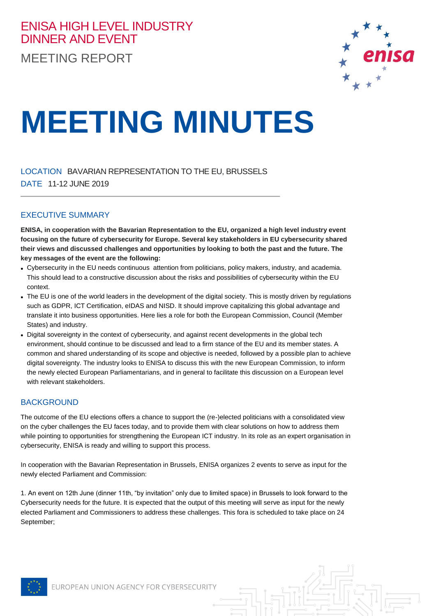## ENISA HIGH LEVEL INDUSTRY DINNER AND EVENT MEETING REPORT



# **MEETING MINUTES**

LOCATION BAVARIAN REPRESENTATION TO THE EU, BRUSSELS DATE 11-12 JUNE 2019

### EXECUTIVE SUMMARY

**ENISA, in cooperation with the Bavarian Representation to the EU, organized a high level industry event focusing on the future of cybersecurity for Europe. Several key stakeholders in EU cybersecurity shared their views and discussed challenges and opportunities by looking to both the past and the future. The key messages of the event are the following:**

- Cybersecurity in the EU needs continuous attention from politicians, policy makers, industry, and academia. This should lead to a constructive discussion about the risks and possibilities of cybersecurity within the EU context.
- The EU is one of the world leaders in the development of the digital society. This is mostly driven by regulations such as GDPR, ICT Certification, eIDAS and NISD. It should improve capitalizing this global advantage and translate it into business opportunities. Here lies a role for both the European Commission, Council (Member States) and industry.
- Digital sovereignty in the context of cybersecurity, and against recent developments in the global tech environment, should continue to be discussed and lead to a firm stance of the EU and its member states. A common and shared understanding of its scope and objective is needed, followed by a possible plan to achieve digital sovereignty. The industry looks to ENISA to discuss this with the new European Commission, to inform the newly elected European Parliamentarians, and in general to facilitate this discussion on a European level with relevant stakeholders.

### **BACKGROUND**

The outcome of the EU elections offers a chance to support the (re-)elected politicians with a consolidated view on the cyber challenges the EU faces today, and to provide them with clear solutions on how to address them while pointing to opportunities for strengthening the European ICT industry. In its role as an expert organisation in cybersecurity, ENISA is ready and willing to support this process.

In cooperation with the Bavarian Representation in Brussels, ENISA organizes 2 events to serve as input for the newly elected Parliament and Commission:

1. An event on 12th June (dinner 11th, "by invitation" only due to limited space) in Brussels to look forward to the Cybersecurity needs for the future. It is expected that the output of this meeting will serve as input for the newly elected Parliament and Commissioners to address these challenges. This fora is scheduled to take place on 24 September;

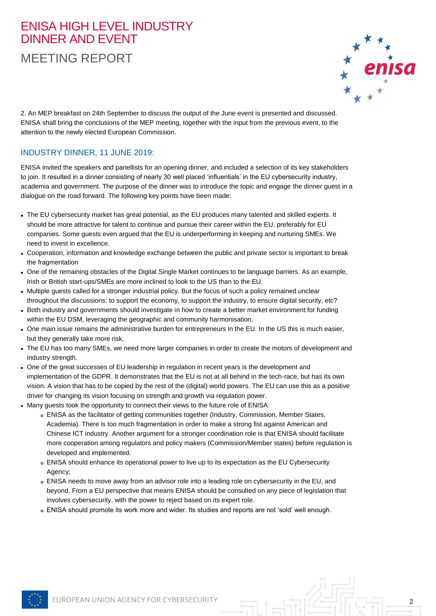## ENISA HIGH LEVEL INDUSTRY DINNER AND EVENT

MEETING REPORT



2

2. An MEP breakfast on 24th September to discuss the output of the June event is presented and discussed. ENISA shall bring the conclusions of the MEP meeting, together with the input from the previous event, to the attention to the newly elected European Commission.

## INDUSTRY DINNER, 11 JUNE 2019:

ENISA invited the speakers and panellists for an opening dinner, and included a selection of its key stakeholders to join. It resulted in a dinner consisting of nearly 30 well placed 'influentials' in the EU cybersecurity industry, academia and government. The purpose of the dinner was to introduce the topic and engage the dinner guest in a dialogue on the road forward. The following key points have been made:

- The EU cybersecurity market has great potential, as the EU produces many talented and skilled experts. It should be more attractive for talent to continue and pursue their career within the EU, preferably for EU companies. Some guests even argued that the EU is underperforming in keeping and nurturing SMEs. We need to invest in excellence.
- Cooperation, information and knowledge exchange between the public and private sector is important to break the fragmentation
- One of the remaining obstacles of the Digital Single Market continues to be language barriers. As an example, Irish or British start-ups/SMEs are more inclined to look to the US than to the EU.
- Multiple guests called for a stronger industrial policy. But the focus of such a policy remained unclear throughout the discussions: to support the economy, to support the industry, to ensure digital security, etc?
- Both industry and governments should investigate in how to create a better market environment for funding within the EU DSM, leveraging the geographic and community harmonisation.
- One main issue remains the administrative burden for entrepreneurs in the EU. In the US this is much easier, but they generally take more risk.
- The EU has too many SMEs, we need more larger companies in order to create the motors of development and industry strength.
- One of the great successes of EU leadership in regulation in recent years is the development and implementation of the GDPR. It demonstrates that the EU is not at all behind in the tech-race, but has its own vision. A vision that has to be copied by the rest of the (digital) world powers. The EU can use this as a positive driver for changing its vision focusing on strength and growth via regulation power.
- Many guests took the opportunity to connect their views to the future role of ENISA:
	- **o** ENISA as the facilitator of getting communities together (Industry, Commission, Member States, Academia). There is too much fragmentation in order to make a strong fist against American and Chinese ICT industry. Another argument for a stronger coordination role is that ENISA should facilitate more cooperation among regulators and policy makers (Commission/Member states) before regulation is developed and implemented.
	- **o** ENISA should enhance its operational power to live up to its expectation as the EU Cybersecurity Agency;
	- **o** ENISA needs to move away from an advisor role into a leading role on cybersecurity in the EU, and beyond. From a EU perspective that means ENISA should be consulted on any piece of legislation that involves cybersecurity, with the power to reject based on its expert role.
	- **o** ENISA should promote its work more and wider. Its studies and reports are not 'sold' well enough.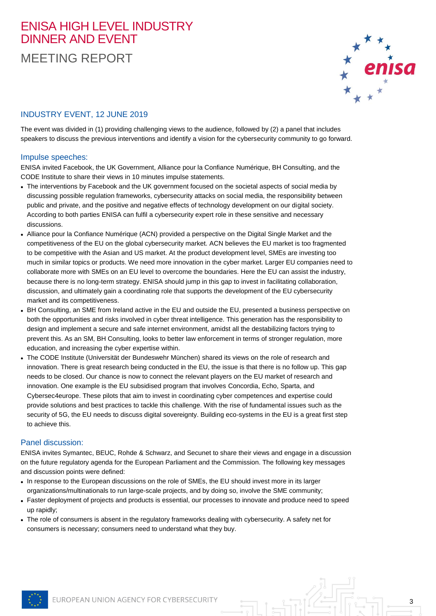## ENISA HIGH LEVEL INDUSTRY DINNER AND EVENT MEETING REPORT



3

## INDUSTRY EVENT, 12 JUNE 2019

The event was divided in (1) providing challenging views to the audience, followed by (2) a panel that includes speakers to discuss the previous interventions and identify a vision for the cybersecurity community to go forward.

#### Impulse speeches:

ENISA invited Facebook, the UK Government, Alliance pour la Confiance Numérique, BH Consulting, and the CODE Institute to share their views in 10 minutes impulse statements.

- The interventions by Facebook and the UK government focused on the societal aspects of social media by discussing possible regulation frameworks, cybersecurity attacks on social media, the responsibility between public and private, and the positive and negative effects of technology development on our digital society. According to both parties ENISA can fulfil a cybersecurity expert role in these sensitive and necessary discussions.
- Alliance pour la Confiance Numérique (ACN) provided a perspective on the Digital Single Market and the competitiveness of the EU on the global cybersecurity market. ACN believes the EU market is too fragmented to be competitive with the Asian and US market. At the product development level, SMEs are investing too much in similar topics or products. We need more innovation in the cyber market. Larger EU companies need to collaborate more with SMEs on an EU level to overcome the boundaries. Here the EU can assist the industry, because there is no long-term strategy. ENISA should jump in this gap to invest in facilitating collaboration, discussion, and ultimately gain a coordinating role that supports the development of the EU cybersecurity market and its competitiveness.
- BH Consulting, an SME from Ireland active in the EU and outside the EU, presented a business perspective on both the opportunities and risks involved in cyber threat intelligence. This generation has the responsibility to design and implement a secure and safe internet environment, amidst all the destabilizing factors trying to prevent this. As an SM, BH Consulting, looks to better law enforcement in terms of stronger regulation, more education, and increasing the cyber expertise within.
- The CODE Institute (Universität der Bundeswehr München) shared its views on the role of research and innovation. There is great research being conducted in the EU, the issue is that there is no follow up. This gap needs to be closed. Our chance is now to connect the relevant players on the EU market of research and innovation. One example is the EU subsidised program that involves Concordia, Echo, Sparta, and Cybersec4europe. These pilots that aim to invest in coordinating cyber competences and expertise could provide solutions and best practices to tackle this challenge. With the rise of fundamental issues such as the security of 5G, the EU needs to discuss digital sovereignty. Building eco-systems in the EU is a great first step to achieve this.

#### Panel discussion:

ENISA invites Symantec, BEUC, Rohde & Schwarz, and Secunet to share their views and engage in a discussion on the future regulatory agenda for the European Parliament and the Commission. The following key messages and discussion points were defined:

- In response to the European discussions on the role of SMEs, the EU should invest more in its larger organizations/multinationals to run large-scale projects, and by doing so, involve the SME community;
- Faster deployment of projects and products is essential, our processes to innovate and produce need to speed up rapidly;
- The role of consumers is absent in the regulatory frameworks dealing with cybersecurity. A safety net for consumers is necessary; consumers need to understand what they buy.